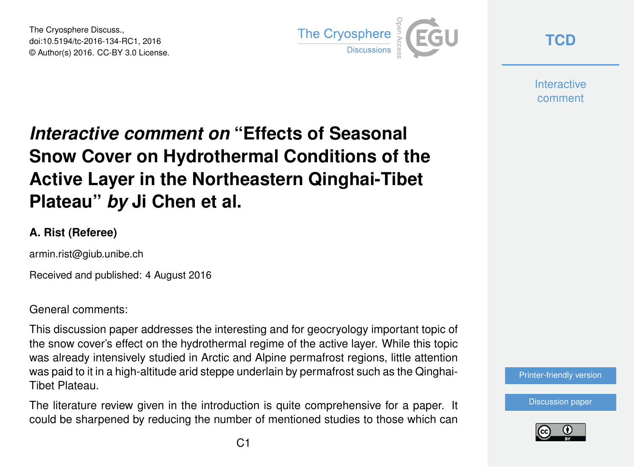The Cryosphere Discuss., doi:10.5194/tc-2016-134-RC1, 2016 © Author(s) 2016. CC-BY 3.0 License.



**[TCD](http://www.the-cryosphere-discuss.net/)**

**Interactive** comment

# *Interactive comment on* **"Effects of Seasonal Snow Cover on Hydrothermal Conditions of the Active Layer in the Northeastern Qinghai-Tibet Plateau"** *by* **Ji Chen et al.**

#### **A. Rist (Referee)**

armin.rist@giub.unibe.ch

Received and published: 4 August 2016

General comments:

This discussion paper addresses the interesting and for geocryology important topic of the snow cover's effect on the hydrothermal regime of the active layer. While this topic was already intensively studied in Arctic and Alpine permafrost regions, little attention was paid to it in a high-altitude arid steppe underlain by permafrost such as the Qinghai-Tibet Plateau.

The literature review given in the introduction is quite comprehensive for a paper. It could be sharpened by reducing the number of mentioned studies to those which can



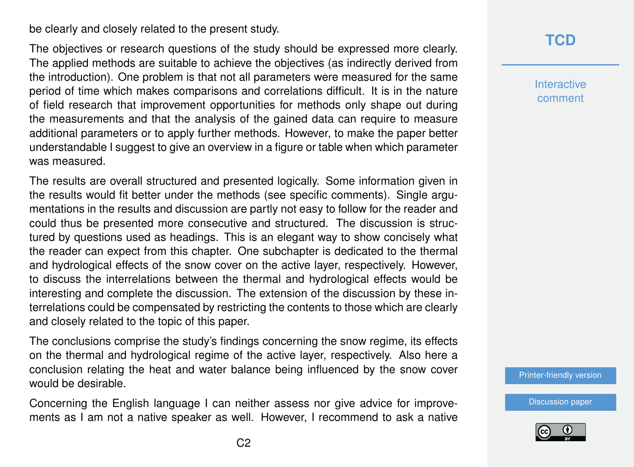be clearly and closely related to the present study.

The objectives or research questions of the study should be expressed more clearly. The applied methods are suitable to achieve the objectives (as indirectly derived from the introduction). One problem is that not all parameters were measured for the same period of time which makes comparisons and correlations difficult. It is in the nature of field research that improvement opportunities for methods only shape out during the measurements and that the analysis of the gained data can require to measure additional parameters or to apply further methods. However, to make the paper better understandable I suggest to give an overview in a figure or table when which parameter was measured.

The results are overall structured and presented logically. Some information given in the results would fit better under the methods (see specific comments). Single argumentations in the results and discussion are partly not easy to follow for the reader and could thus be presented more consecutive and structured. The discussion is structured by questions used as headings. This is an elegant way to show concisely what the reader can expect from this chapter. One subchapter is dedicated to the thermal and hydrological effects of the snow cover on the active layer, respectively. However, to discuss the interrelations between the thermal and hydrological effects would be interesting and complete the discussion. The extension of the discussion by these interrelations could be compensated by restricting the contents to those which are clearly and closely related to the topic of this paper.

The conclusions comprise the study's findings concerning the snow regime, its effects on the thermal and hydrological regime of the active layer, respectively. Also here a conclusion relating the heat and water balance being influenced by the snow cover would be desirable.

Concerning the English language I can neither assess nor give advice for improvements as I am not a native speaker as well. However, I recommend to ask a native

#### **[TCD](http://www.the-cryosphere-discuss.net/)**

**Interactive** comment

[Printer-friendly version](http://www.the-cryosphere-discuss.net/tc-2016-134/tc-2016-134-RC1-print.pdf)

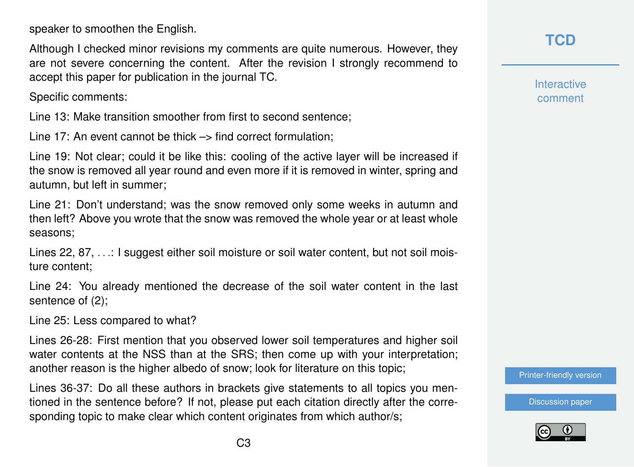speaker to smoothen the English.

Although I checked minor revisions my comments are quite numerous. However, they are not severe concerning the content. After the revision I strongly recommend to accept this paper for publication in the journal TC.

Specific comments:

Line 13: Make transition smoother from first to second sentence;

Line 17: An event cannot be thick  $\rightarrow$  find correct formulation:

Line 19: Not clear; could it be like this: cooling of the active layer will be increased if the snow is removed all year round and even more if it is removed in winter, spring and autumn, but left in summer;

Line 21: Don't understand; was the snow removed only some weeks in autumn and then left? Above you wrote that the snow was removed the whole year or at least whole seasons;

Lines 22, 87, ...: I suggest either soil moisture or soil water content, but not soil moisture content;

Line 24: You already mentioned the decrease of the soil water content in the last sentence of (2);

Line 25: Less compared to what?

Lines 26-28: First mention that you observed lower soil temperatures and higher soil water contents at the NSS than at the SRS; then come up with your interpretation; another reason is the higher albedo of snow; look for literature on this topic;

Lines 36-37: Do all these authors in brackets give statements to all topics you mentioned in the sentence before? If not, please put each citation directly after the corresponding topic to make clear which content originates from which author/s;

**[TCD](http://www.the-cryosphere-discuss.net/)**

**Interactive** comment

[Printer-friendly version](http://www.the-cryosphere-discuss.net/tc-2016-134/tc-2016-134-RC1-print.pdf)

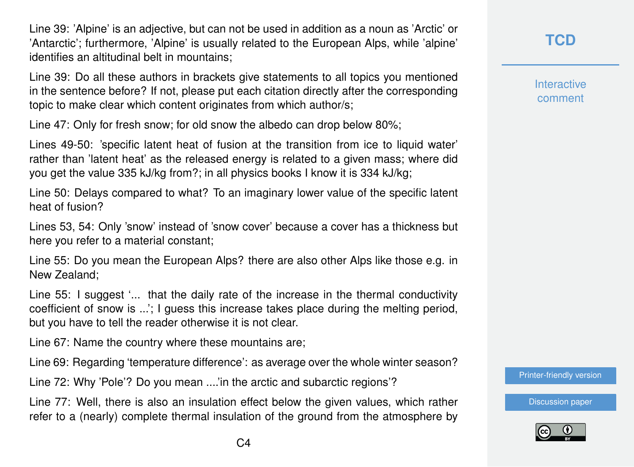Line 39: 'Alpine' is an adjective, but can not be used in addition as a noun as 'Arctic' or 'Antarctic'; furthermore, 'Alpine' is usually related to the European Alps, while 'alpine' identifies an altitudinal belt in mountains;

Line 39: Do all these authors in brackets give statements to all topics you mentioned in the sentence before? If not, please put each citation directly after the corresponding topic to make clear which content originates from which author/s;

Line 47: Only for fresh snow; for old snow the albedo can drop below 80%;

Lines 49-50: 'specific latent heat of fusion at the transition from ice to liquid water' rather than 'latent heat' as the released energy is related to a given mass; where did you get the value 335 kJ/kg from?; in all physics books I know it is 334 kJ/kg;

Line 50: Delays compared to what? To an imaginary lower value of the specific latent heat of fusion?

Lines 53, 54: Only 'snow' instead of 'snow cover' because a cover has a thickness but here you refer to a material constant;

Line 55: Do you mean the European Alps? there are also other Alps like those e.g. in New Zealand;

Line 55: I suggest '... that the daily rate of the increase in the thermal conductivity coefficient of snow is ...': I quess this increase takes place during the melting period, but you have to tell the reader otherwise it is not clear.

Line 67: Name the country where these mountains are;

Line 69: Regarding 'temperature difference': as average over the whole winter season?

Line 72: Why 'Pole'? Do you mean ....'in the arctic and subarctic regions'?

Line 77: Well, there is also an insulation effect below the given values, which rather refer to a (nearly) complete thermal insulation of the ground from the atmosphere by **[TCD](http://www.the-cryosphere-discuss.net/)**

**Interactive** comment

[Printer-friendly version](http://www.the-cryosphere-discuss.net/tc-2016-134/tc-2016-134-RC1-print.pdf)

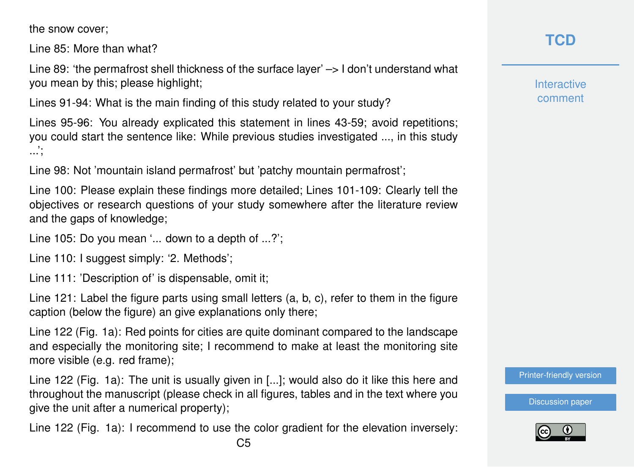the snow cover;

Line 85: More than what?

Line 89: 'the permafrost shell thickness of the surface layer' –> I don't understand what you mean by this; please highlight;

Lines 91-94: What is the main finding of this study related to your study?

Lines 95-96: You already explicated this statement in lines 43-59; avoid repetitions; you could start the sentence like: While previous studies investigated ..., in this study ...';

Line 98: Not 'mountain island permafrost' but 'patchy mountain permafrost';

Line 100: Please explain these findings more detailed; Lines 101-109: Clearly tell the objectives or research questions of your study somewhere after the literature review and the gaps of knowledge;

Line 105: Do you mean '... down to a depth of ...?';

Line 110: I suggest simply: '2. Methods';

Line 111: 'Description of' is dispensable, omit it;

Line 121: Label the figure parts using small letters (a, b, c), refer to them in the figure caption (below the figure) an give explanations only there;

Line 122 (Fig. 1a): Red points for cities are quite dominant compared to the landscape and especially the monitoring site; I recommend to make at least the monitoring site more visible (e.g. red frame);

Line 122 (Fig. 1a): The unit is usually given in [...]; would also do it like this here and throughout the manuscript (please check in all figures, tables and in the text where you give the unit after a numerical property);

Line 122 (Fig. 1a): I recommend to use the color gradient for the elevation inversely:

**Interactive** comment

[Printer-friendly version](http://www.the-cryosphere-discuss.net/tc-2016-134/tc-2016-134-RC1-print.pdf)

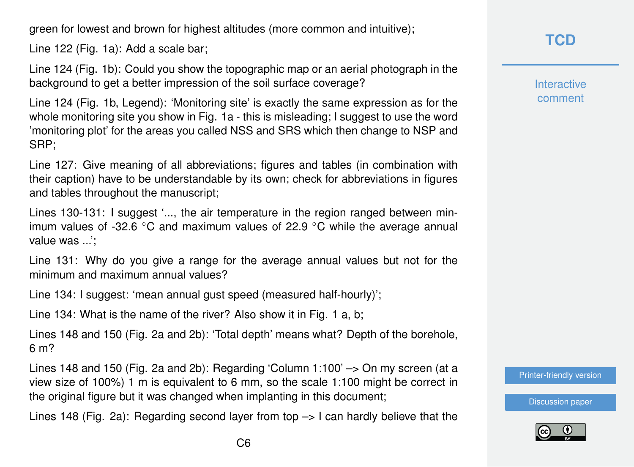green for lowest and brown for highest altitudes (more common and intuitive);

Line 122 (Fig. 1a): Add a scale bar;

Line 124 (Fig. 1b): Could you show the topographic map or an aerial photograph in the background to get a better impression of the soil surface coverage?

Line 124 (Fig. 1b, Legend): 'Monitoring site' is exactly the same expression as for the whole monitoring site you show in Fig. 1a - this is misleading; I suggest to use the word 'monitoring plot' for the areas you called NSS and SRS which then change to NSP and SRP;

Line 127: Give meaning of all abbreviations; figures and tables (in combination with their caption) have to be understandable by its own; check for abbreviations in figures and tables throughout the manuscript;

Lines 130-131: I suggest '..., the air temperature in the region ranged between minimum values of -32.6  $\degree$ C and maximum values of 22.9  $\degree$ C while the average annual value was ...';

Line 131: Why do you give a range for the average annual values but not for the minimum and maximum annual values?

Line 134: I suggest: 'mean annual gust speed (measured half-hourly)';

Line 134: What is the name of the river? Also show it in Fig. 1 a, b;

Lines 148 and 150 (Fig. 2a and 2b): 'Total depth' means what? Depth of the borehole, 6 m?

Lines 148 and 150 (Fig. 2a and 2b): Regarding 'Column 1:100' –> On my screen (at a view size of 100%) 1 m is equivalent to 6 mm, so the scale 1:100 might be correct in the original figure but it was changed when implanting in this document;

Lines 148 (Fig. 2a): Regarding second layer from top  $\rightarrow$  I can hardly believe that the

## **[TCD](http://www.the-cryosphere-discuss.net/)**

**Interactive** comment

[Printer-friendly version](http://www.the-cryosphere-discuss.net/tc-2016-134/tc-2016-134-RC1-print.pdf)

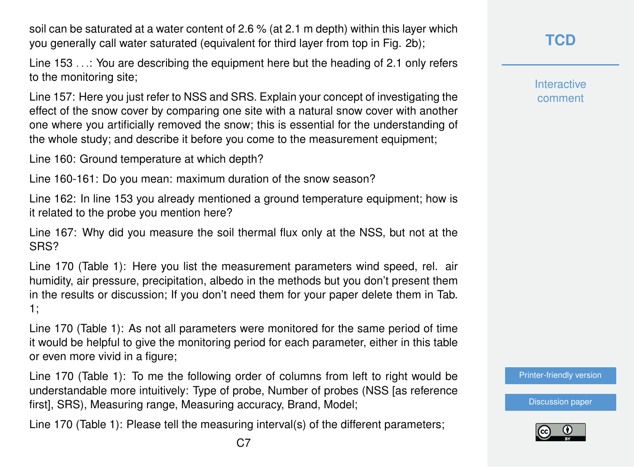soil can be saturated at a water content of 2.6 % (at 2.1 m depth) within this layer which you generally call water saturated (equivalent for third layer from top in Fig. 2b);

Line 153 ... You are describing the equipment here but the heading of 2.1 only refers to the monitoring site;

Line 157: Here you just refer to NSS and SRS. Explain your concept of investigating the effect of the snow cover by comparing one site with a natural snow cover with another one where you artificially removed the snow; this is essential for the understanding of the whole study; and describe it before you come to the measurement equipment;

Line 160: Ground temperature at which depth?

Line 160-161: Do you mean: maximum duration of the snow season?

Line 162: In line 153 you already mentioned a ground temperature equipment; how is it related to the probe you mention here?

Line 167: Why did you measure the soil thermal flux only at the NSS, but not at the SRS?

Line 170 (Table 1): Here you list the measurement parameters wind speed, rel. air humidity, air pressure, precipitation, albedo in the methods but you don't present them in the results or discussion; If you don't need them for your paper delete them in Tab. 1;

Line 170 (Table 1): As not all parameters were monitored for the same period of time it would be helpful to give the monitoring period for each parameter, either in this table or even more vivid in a figure;

Line 170 (Table 1): To me the following order of columns from left to right would be understandable more intuitively: Type of probe, Number of probes (NSS [as reference first], SRS), Measuring range, Measuring accuracy, Brand, Model;

Line 170 (Table 1): Please tell the measuring interval(s) of the different parameters;

**Interactive** comment

[Printer-friendly version](http://www.the-cryosphere-discuss.net/tc-2016-134/tc-2016-134-RC1-print.pdf)

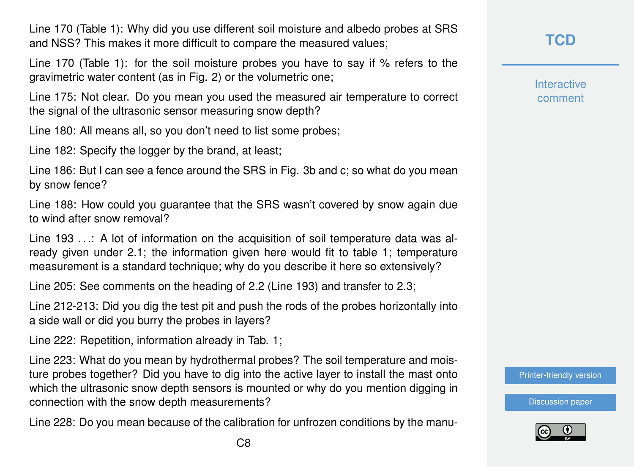Line 170 (Table 1): Why did you use different soil moisture and albedo probes at SRS and NSS? This makes it more difficult to compare the measured values;

Line 170 (Table 1): for the soil moisture probes you have to say if % refers to the gravimetric water content (as in Fig. 2) or the volumetric one;

Line 175: Not clear. Do you mean you used the measured air temperature to correct the signal of the ultrasonic sensor measuring snow depth?

Line 180: All means all, so you don't need to list some probes;

Line 182: Specify the logger by the brand, at least;

Line 186: But I can see a fence around the SRS in Fig. 3b and c; so what do you mean by snow fence?

Line 188: How could you guarantee that the SRS wasn't covered by snow again due to wind after snow removal?

Line 193 ...: A lot of information on the acquisition of soil temperature data was already given under 2.1; the information given here would fit to table 1; temperature measurement is a standard technique; why do you describe it here so extensively?

Line 205: See comments on the heading of 2.2 (Line 193) and transfer to 2.3;

Line 212-213: Did you dig the test pit and push the rods of the probes horizontally into a side wall or did you burry the probes in layers?

Line 222: Repetition, information already in Tab. 1;

Line 223: What do you mean by hydrothermal probes? The soil temperature and moisture probes together? Did you have to dig into the active layer to install the mast onto which the ultrasonic snow depth sensors is mounted or why do you mention digging in connection with the snow depth measurements?

Line 228: Do you mean because of the calibration for unfrozen conditions by the manu-

#### **[TCD](http://www.the-cryosphere-discuss.net/)**

**Interactive** comment

[Printer-friendly version](http://www.the-cryosphere-discuss.net/tc-2016-134/tc-2016-134-RC1-print.pdf)

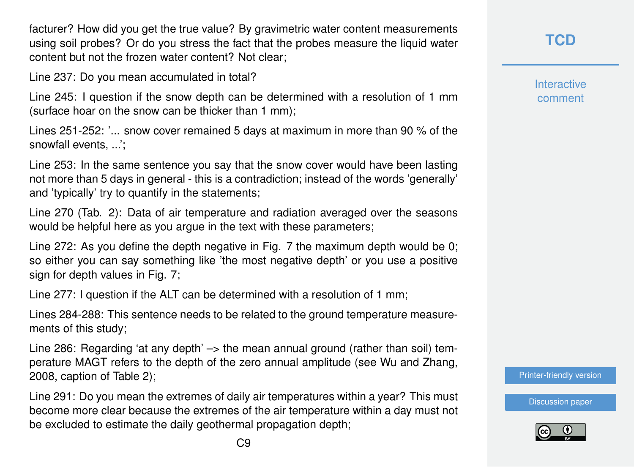facturer? How did you get the true value? By gravimetric water content measurements using soil probes? Or do you stress the fact that the probes measure the liquid water content but not the frozen water content? Not clear;

Line 237: Do you mean accumulated in total?

Line 245: I question if the snow depth can be determined with a resolution of 1 mm (surface hoar on the snow can be thicker than 1 mm);

Lines 251-252: '... snow cover remained 5 days at maximum in more than 90 % of the snowfall events, ...';

Line 253: In the same sentence you say that the snow cover would have been lasting not more than 5 days in general - this is a contradiction; instead of the words 'generally' and 'typically' try to quantify in the statements;

Line 270 (Tab. 2): Data of air temperature and radiation averaged over the seasons would be helpful here as you argue in the text with these parameters;

Line 272: As you define the depth negative in Fig. 7 the maximum depth would be 0; so either you can say something like 'the most negative depth' or you use a positive sign for depth values in Fig. 7;

Line 277: I question if the ALT can be determined with a resolution of 1 mm;

Lines 284-288: This sentence needs to be related to the ground temperature measurements of this study;

Line 286: Regarding 'at any depth'  $\rightarrow$  the mean annual ground (rather than soil) temperature MAGT refers to the depth of the zero annual amplitude (see Wu and Zhang, 2008, caption of Table 2);

Line 291: Do you mean the extremes of daily air temperatures within a year? This must become more clear because the extremes of the air temperature within a day must not be excluded to estimate the daily geothermal propagation depth;

**[TCD](http://www.the-cryosphere-discuss.net/)**

**Interactive** comment

[Printer-friendly version](http://www.the-cryosphere-discuss.net/tc-2016-134/tc-2016-134-RC1-print.pdf)

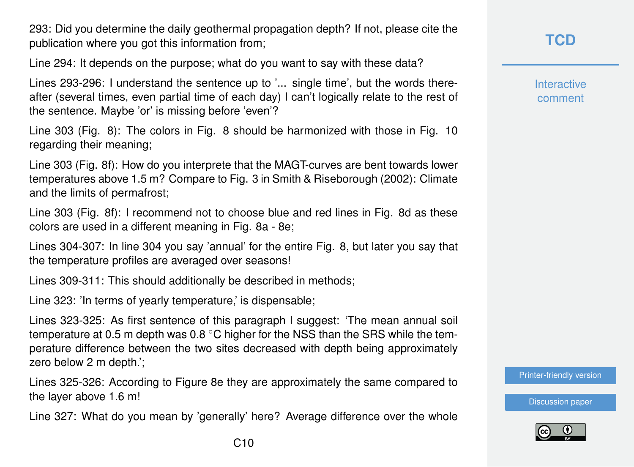293: Did you determine the daily geothermal propagation depth? If not, please cite the publication where you got this information from;

Line 294: It depends on the purpose; what do you want to say with these data?

Lines 293-296: I understand the sentence up to '... single time', but the words thereafter (several times, even partial time of each day) I can't logically relate to the rest of the sentence. Maybe 'or' is missing before 'even'?

Line 303 (Fig. 8): The colors in Fig. 8 should be harmonized with those in Fig. 10 regarding their meaning;

Line 303 (Fig. 8f): How do you interprete that the MAGT-curves are bent towards lower temperatures above 1.5 m? Compare to Fig. 3 in Smith & Riseborough (2002): Climate and the limits of permafrost;

Line 303 (Fig. 8f): I recommend not to choose blue and red lines in Fig. 8d as these colors are used in a different meaning in Fig. 8a - 8e;

Lines 304-307: In line 304 you say 'annual' for the entire Fig. 8, but later you say that the temperature profiles are averaged over seasons!

Lines 309-311: This should additionally be described in methods;

Line 323: 'In terms of yearly temperature,' is dispensable;

Lines 323-325: As first sentence of this paragraph I suggest: 'The mean annual soil temperature at 0.5 m depth was  $0.8\text{ °C}$  higher for the NSS than the SRS while the temperature difference between the two sites decreased with depth being approximately zero below 2 m depth.';

Lines 325-326: According to Figure 8e they are approximately the same compared to the layer above 1.6 m!

Line 327: What do you mean by 'generally' here? Average difference over the whole

**Interactive** comment

[Printer-friendly version](http://www.the-cryosphere-discuss.net/tc-2016-134/tc-2016-134-RC1-print.pdf)

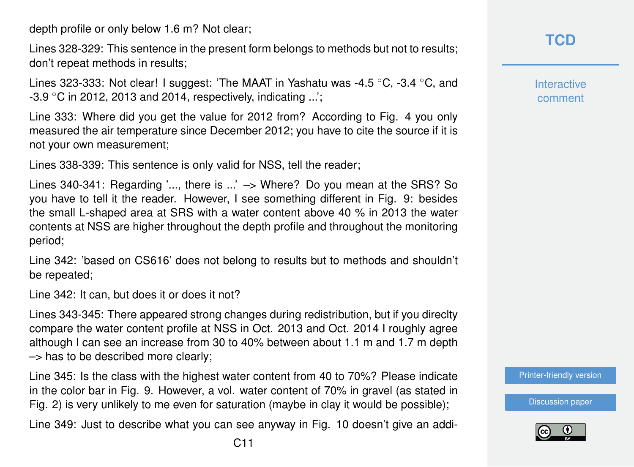depth profile or only below 1.6 m? Not clear;

Lines 328-329: This sentence in the present form belongs to methods but not to results; don't repeat methods in results;

Lines 323-333: Not clear! I suggest: 'The MAAT in Yashatu was -4.5 ◦C, -3.4 ◦C, and  $-3.9$  °C in 2012, 2013 and 2014, respectively, indicating ...';

Line 333: Where did you get the value for 2012 from? According to Fig. 4 you only measured the air temperature since December 2012; you have to cite the source if it is not your own measurement;

Lines 338-339: This sentence is only valid for NSS, tell the reader;

Lines 340-341: Regarding '..., there is ...' -> Where? Do you mean at the SRS? So you have to tell it the reader. However, I see something different in Fig. 9: besides the small L-shaped area at SRS with a water content above 40 % in 2013 the water contents at NSS are higher throughout the depth profile and throughout the monitoring period;

Line 342: 'based on CS616' does not belong to results but to methods and shouldn't be repeated;

Line 342: It can, but does it or does it not?

Lines 343-345: There appeared strong changes during redistribution, but if you direclty compare the water content profile at NSS in Oct. 2013 and Oct. 2014 I roughly agree although I can see an increase from 30 to 40% between about 1.1 m and 1.7 m depth –> has to be described more clearly;

Line 345: Is the class with the highest water content from 40 to 70%? Please indicate in the color bar in Fig. 9. However, a vol. water content of 70% in gravel (as stated in Fig. 2) is very unlikely to me even for saturation (maybe in clay it would be possible);

Line 349: Just to describe what you can see anyway in Fig. 10 doesn't give an addi-

**Interactive** comment

[Printer-friendly version](http://www.the-cryosphere-discuss.net/tc-2016-134/tc-2016-134-RC1-print.pdf)

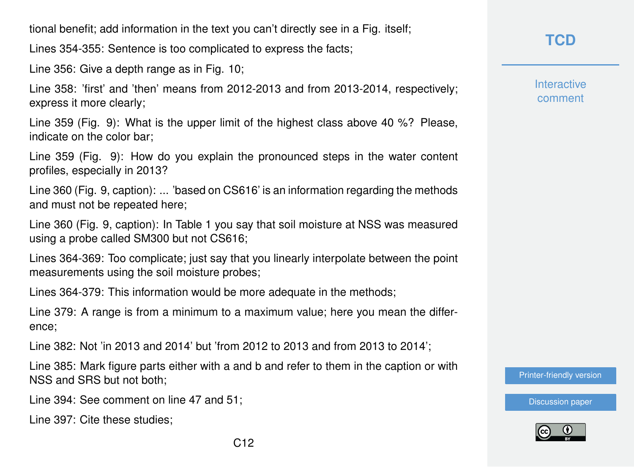tional benefit; add information in the text you can't directly see in a Fig. itself;

Lines 354-355: Sentence is too complicated to express the facts;

Line 356: Give a depth range as in Fig. 10;

Line 358: 'first' and 'then' means from 2012-2013 and from 2013-2014, respectively; express it more clearly;

Line 359 (Fig. 9): What is the upper limit of the highest class above 40 %? Please, indicate on the color bar;

Line 359 (Fig. 9): How do you explain the pronounced steps in the water content profiles, especially in 2013?

Line 360 (Fig. 9, caption): ... 'based on CS616' is an information regarding the methods and must not be repeated here;

Line 360 (Fig. 9, caption): In Table 1 you say that soil moisture at NSS was measured using a probe called SM300 but not CS616;

Lines 364-369: Too complicate; just say that you linearly interpolate between the point measurements using the soil moisture probes;

Lines 364-379: This information would be more adequate in the methods;

Line 379: A range is from a minimum to a maximum value; here you mean the difference;

Line 382: Not 'in 2013 and 2014' but 'from 2012 to 2013 and from 2013 to 2014';

Line 385: Mark figure parts either with a and b and refer to them in the caption or with NSS and SRS but not both;

Line 394: See comment on line 47 and 51;

Line 397: Cite these studies;

## **[TCD](http://www.the-cryosphere-discuss.net/)**

**Interactive** comment

[Printer-friendly version](http://www.the-cryosphere-discuss.net/tc-2016-134/tc-2016-134-RC1-print.pdf)

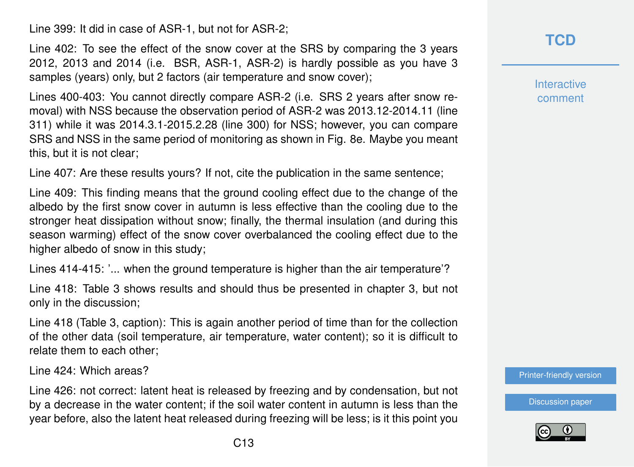Line 399: It did in case of ASR-1, but not for ASR-2;

Line 402: To see the effect of the snow cover at the SRS by comparing the 3 years 2012, 2013 and 2014 (i.e. BSR, ASR-1, ASR-2) is hardly possible as you have 3 samples (years) only, but 2 factors (air temperature and snow cover);

Lines 400-403: You cannot directly compare ASR-2 (i.e. SRS 2 years after snow removal) with NSS because the observation period of ASR-2 was 2013.12-2014.11 (line 311) while it was 2014.3.1-2015.2.28 (line 300) for NSS; however, you can compare SRS and NSS in the same period of monitoring as shown in Fig. 8e. Maybe you meant this, but it is not clear;

Line 407: Are these results yours? If not, cite the publication in the same sentence;

Line 409: This finding means that the ground cooling effect due to the change of the albedo by the first snow cover in autumn is less effective than the cooling due to the stronger heat dissipation without snow; finally, the thermal insulation (and during this season warming) effect of the snow cover overbalanced the cooling effect due to the higher albedo of snow in this study;

Lines 414-415: '... when the ground temperature is higher than the air temperature'?

Line 418: Table 3 shows results and should thus be presented in chapter 3, but not only in the discussion;

Line 418 (Table 3, caption): This is again another period of time than for the collection of the other data (soil temperature, air temperature, water content); so it is difficult to relate them to each other;

Line 424: Which areas?

Line 426: not correct: latent heat is released by freezing and by condensation, but not by a decrease in the water content; if the soil water content in autumn is less than the year before, also the latent heat released during freezing will be less; is it this point you

**Interactive** comment

[Printer-friendly version](http://www.the-cryosphere-discuss.net/tc-2016-134/tc-2016-134-RC1-print.pdf)

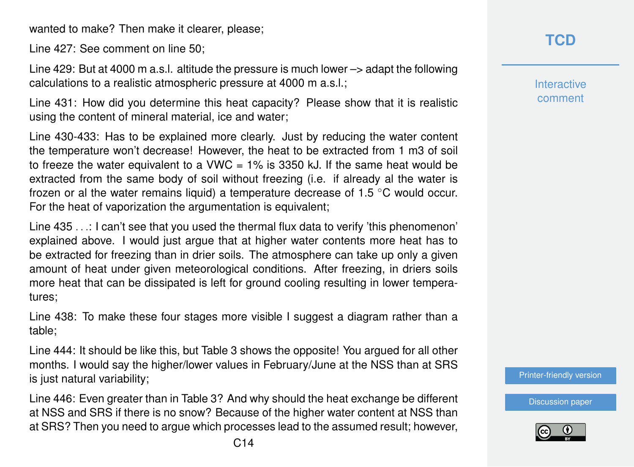wanted to make? Then make it clearer, please;

Line 427: See comment on line 50;

Line 429: But at 4000 m a.s.l. altitude the pressure is much lower –> adapt the following calculations to a realistic atmospheric pressure at 4000 m a.s.l.;

Line 431: How did you determine this heat capacity? Please show that it is realistic using the content of mineral material, ice and water;

Line 430-433: Has to be explained more clearly. Just by reducing the water content the temperature won't decrease! However, the heat to be extracted from 1 m3 of soil to freeze the water equivalent to a VWC  $= 1\%$  is 3350 kJ. If the same heat would be extracted from the same body of soil without freezing (i.e. if already al the water is frozen or al the water remains liquid) a temperature decrease of 1.5 ◦C would occur. For the heat of vaporization the argumentation is equivalent;

Line 435 . . .: I can't see that you used the thermal flux data to verify 'this phenomenon' explained above. I would just argue that at higher water contents more heat has to be extracted for freezing than in drier soils. The atmosphere can take up only a given amount of heat under given meteorological conditions. After freezing, in driers soils more heat that can be dissipated is left for ground cooling resulting in lower temperatures;

Line 438: To make these four stages more visible I suggest a diagram rather than a table;

Line 444: It should be like this, but Table 3 shows the opposite! You argued for all other months. I would say the higher/lower values in February/June at the NSS than at SRS is just natural variability;

Line 446: Even greater than in Table 3? And why should the heat exchange be different at NSS and SRS if there is no snow? Because of the higher water content at NSS than at SRS? Then you need to argue which processes lead to the assumed result; however,

**Interactive** comment

[Printer-friendly version](http://www.the-cryosphere-discuss.net/tc-2016-134/tc-2016-134-RC1-print.pdf)

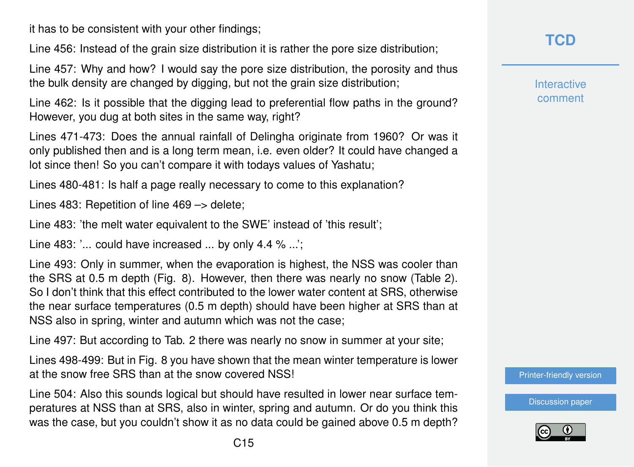it has to be consistent with your other findings;

Line 456: Instead of the grain size distribution it is rather the pore size distribution;

Line 457: Why and how? I would say the pore size distribution, the porosity and thus the bulk density are changed by digging, but not the grain size distribution;

Line 462: Is it possible that the digging lead to preferential flow paths in the ground? However, you dug at both sites in the same way, right?

Lines 471-473: Does the annual rainfall of Delingha originate from 1960? Or was it only published then and is a long term mean, i.e. even older? It could have changed a lot since then! So you can't compare it with todays values of Yashatu;

Lines 480-481: Is half a page really necessary to come to this explanation?

Lines 483: Repetition of line 469 –> delete;

Line 483: 'the melt water equivalent to the SWE' instead of 'this result';

Line 483: '... could have increased ... by only 4.4 % ...';

Line 493: Only in summer, when the evaporation is highest, the NSS was cooler than the SRS at 0.5 m depth (Fig. 8). However, then there was nearly no snow (Table 2). So I don't think that this effect contributed to the lower water content at SRS, otherwise the near surface temperatures (0.5 m depth) should have been higher at SRS than at NSS also in spring, winter and autumn which was not the case;

Line 497: But according to Tab. 2 there was nearly no snow in summer at your site;

Lines 498-499: But in Fig. 8 you have shown that the mean winter temperature is lower at the snow free SRS than at the snow covered NSS!

Line 504: Also this sounds logical but should have resulted in lower near surface temperatures at NSS than at SRS, also in winter, spring and autumn. Or do you think this was the case, but you couldn't show it as no data could be gained above 0.5 m depth?

# **[TCD](http://www.the-cryosphere-discuss.net/)**

**Interactive** comment

[Printer-friendly version](http://www.the-cryosphere-discuss.net/tc-2016-134/tc-2016-134-RC1-print.pdf)

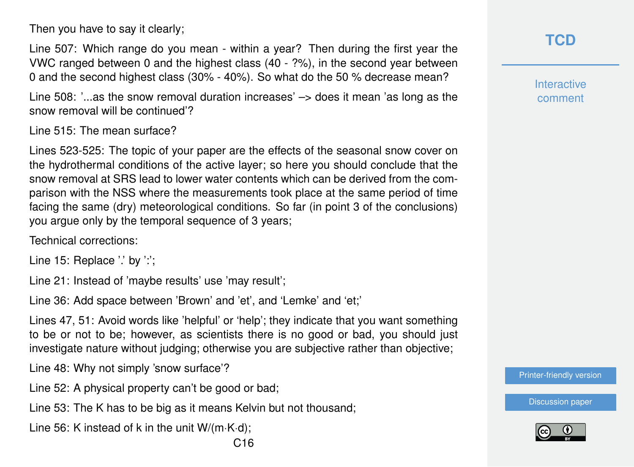Then you have to say it clearly;

Line 507: Which range do you mean - within a year? Then during the first year the VWC ranged between 0 and the highest class (40 - ?%), in the second year between 0 and the second highest class (30% - 40%). So what do the 50 % decrease mean?

Line 508: '...as the snow removal duration increases'  $\rightarrow$  does it mean 'as long as the snow removal will be continued'?

Line 515: The mean surface?

Lines 523-525: The topic of your paper are the effects of the seasonal snow cover on the hydrothermal conditions of the active layer; so here you should conclude that the snow removal at SRS lead to lower water contents which can be derived from the comparison with the NSS where the measurements took place at the same period of time facing the same (dry) meteorological conditions. So far (in point 3 of the conclusions) you argue only by the temporal sequence of 3 years;

Technical corrections:

Line 15: Replace '.' by ':';

Line 21: Instead of 'maybe results' use 'may result';

Line 36: Add space between 'Brown' and 'et', and 'Lemke' and 'et;'

Lines 47, 51: Avoid words like 'helpful' or 'help'; they indicate that you want something to be or not to be; however, as scientists there is no good or bad, you should just investigate nature without judging; otherwise you are subjective rather than objective;

Line 48: Why not simply 'snow surface'?

Line 52: A physical property can't be good or bad;

Line 53: The K has to be big as it means Kelvin but not thousand;

Line 56: K instead of k in the unit W/(m·K·d);

**Interactive** comment

[Printer-friendly version](http://www.the-cryosphere-discuss.net/tc-2016-134/tc-2016-134-RC1-print.pdf)

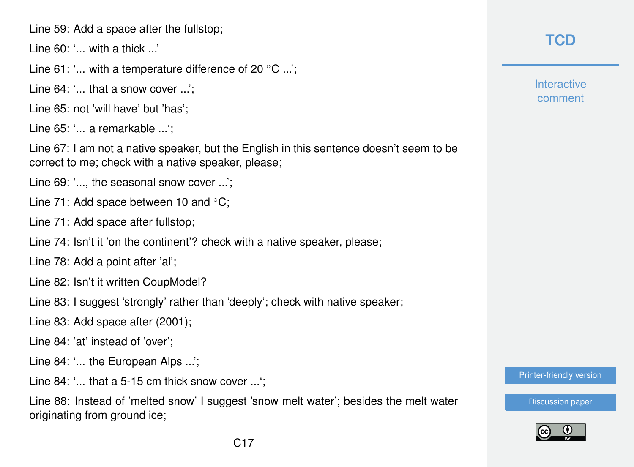Line 59: Add a space after the fullstop;

Line 60: '... with a thick ...'

Line 61: '... with a temperature difference of 20 ◦C ...';

Line 64: '... that a snow cover ...':

Line 65: not 'will have' but 'has';

Line 65: '... a remarkable ...';

Line 67: I am not a native speaker, but the English in this sentence doesn't seem to be correct to me; check with a native speaker, please;

Line 69: '..., the seasonal snow cover ...':

Line 71: Add space between 10 and ◦C;

Line 71: Add space after fullstop;

Line 74: Isn't it 'on the continent'? check with a native speaker, please;

Line 78: Add a point after 'al';

Line 82: Isn't it written CoupModel?

Line 83: I suggest 'strongly' rather than 'deeply'; check with native speaker;

Line 83: Add space after (2001);

Line 84: 'at' instead of 'over';

Line 84: '... the European Alps ...':

Line 84: '... that a 5-15 cm thick snow cover ...':

Line 88: Instead of 'melted snow' I suggest 'snow melt water'; besides the melt water originating from ground ice;

**[TCD](http://www.the-cryosphere-discuss.net/)**

**Interactive** comment

[Printer-friendly version](http://www.the-cryosphere-discuss.net/tc-2016-134/tc-2016-134-RC1-print.pdf)

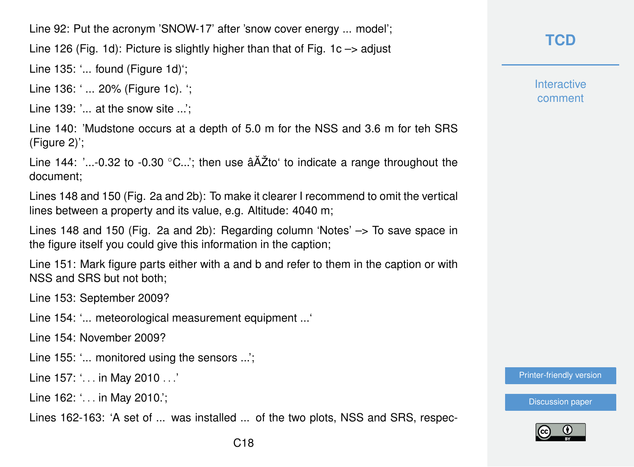Line 92: Put the acronym 'SNOW-17' after 'snow cover energy ... model';

Line 126 (Fig. 1d): Picture is slightly higher than that of Fig. 1c  $\rightarrow$  adjust

Line 135: '... found (Figure 1d)';

Line 136: '... 20% (Figure 1c). ':

Line 139: '... at the snow site ...':

Line 140: 'Mudstone occurs at a depth of 5.0 m for the NSS and 3.6 m for teh SRS (Figure 2)';

Line 144: '...-0.32 to -0.30  $°C..$ '; then use  $\tilde{a}$ AŽto' to indicate a range throughout the document;

Lines 148 and 150 (Fig. 2a and 2b): To make it clearer I recommend to omit the vertical lines between a property and its value, e.g. Altitude: 4040 m;

Lines 148 and 150 (Fig. 2a and 2b): Regarding column 'Notes' –> To save space in the figure itself you could give this information in the caption;

Line 151: Mark figure parts either with a and b and refer to them in the caption or with NSS and SRS but not both;

Line 153: September 2009?

Line 154: '... meteorological measurement equipment ...'

Line 154: November 2009?

Line 155: '... monitored using the sensors ...';

Line 157: '. . . in May 2010 . . .'

Line 162: '... in May 2010.';

Lines 162-163: 'A set of ... was installed ... of the two plots, NSS and SRS, respec-

**[TCD](http://www.the-cryosphere-discuss.net/)**

**Interactive** comment

[Printer-friendly version](http://www.the-cryosphere-discuss.net/tc-2016-134/tc-2016-134-RC1-print.pdf)

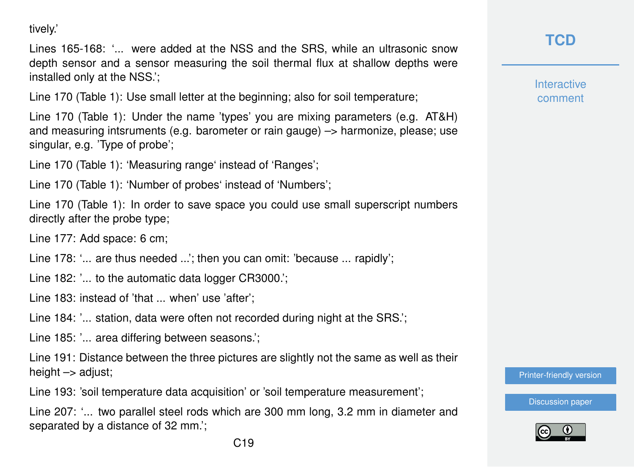tively.'

Lines 165-168: '... were added at the NSS and the SRS, while an ultrasonic snow depth sensor and a sensor measuring the soil thermal flux at shallow depths were installed only at the NSS.';

Line 170 (Table 1): Use small letter at the beginning; also for soil temperature;

Line 170 (Table 1): Under the name 'types' you are mixing parameters (e.g. AT&H) and measuring intsruments (e.g. barometer or rain gauge) –> harmonize, please; use singular, e.g. 'Type of probe';

Line 170 (Table 1): 'Measuring range' instead of 'Ranges';

Line 170 (Table 1): 'Number of probes' instead of 'Numbers';

Line 170 (Table 1): In order to save space you could use small superscript numbers directly after the probe type;

Line 177: Add space: 6 cm;

Line 178: '... are thus needed ...'; then you can omit: 'because ... rapidly';

Line 182: '... to the automatic data logger CR3000.';

Line 183: instead of 'that ... when' use 'after';

Line 184: '... station, data were often not recorded during night at the SRS.';

Line 185: '... area differing between seasons.';

Line 191: Distance between the three pictures are slightly not the same as well as their height  $\rightarrow$  adjust;

Line 193: 'soil temperature data acquisition' or 'soil temperature measurement';

Line 207: '... two parallel steel rods which are 300 mm long, 3.2 mm in diameter and separated by a distance of 32 mm.';

**[TCD](http://www.the-cryosphere-discuss.net/)**

**Interactive** comment

[Printer-friendly version](http://www.the-cryosphere-discuss.net/tc-2016-134/tc-2016-134-RC1-print.pdf)

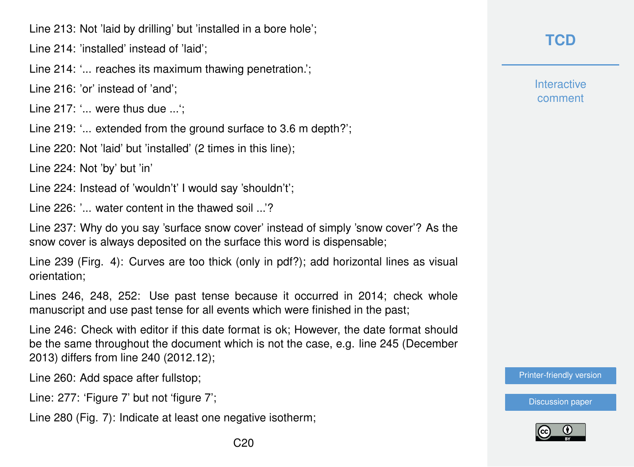Line 213: Not 'laid by drilling' but 'installed in a bore hole';

Line 214: 'installed' instead of 'laid';

Line 214: '... reaches its maximum thawing penetration.';

Line 216: 'or' instead of 'and';

Line 217: '... were thus due ...';

Line 219: '... extended from the ground surface to 3.6 m depth?';

Line 220: Not 'laid' but 'installed' (2 times in this line);

Line 224: Not 'by' but 'in'

Line 224: Instead of 'wouldn't' I would say 'shouldn't';

Line 226: '... water content in the thawed soil ...'?

Line 237: Why do you say 'surface snow cover' instead of simply 'snow cover'? As the snow cover is always deposited on the surface this word is dispensable;

Line 239 (Firg. 4): Curves are too thick (only in pdf?); add horizontal lines as visual orientation;

Lines 246, 248, 252: Use past tense because it occurred in 2014; check whole manuscript and use past tense for all events which were finished in the past;

Line 246: Check with editor if this date format is ok; However, the date format should be the same throughout the document which is not the case, e.g. line 245 (December 2013) differs from line 240 (2012.12);

Line 260: Add space after fullstop;

Line: 277: 'Figure 7' but not 'figure 7';

Line 280 (Fig. 7): Indicate at least one negative isotherm;

**Interactive** comment

[Printer-friendly version](http://www.the-cryosphere-discuss.net/tc-2016-134/tc-2016-134-RC1-print.pdf)

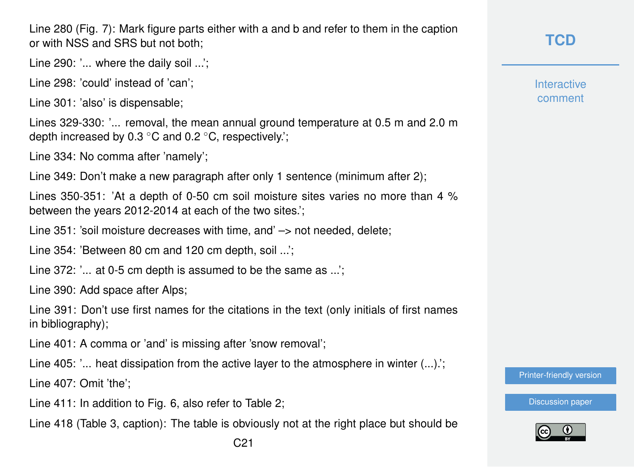Line 280 (Fig. 7): Mark figure parts either with a and b and refer to them in the caption or with NSS and SRS but not both;

Line 290: '... where the daily soil ...';

Line 298: 'could' instead of 'can';

Line 301: 'also' is dispensable;

Lines 329-330: '... removal, the mean annual ground temperature at 0.5 m and 2.0 m depth increased by 0.3 ◦C and 0.2 ◦C, respectively.';

Line 334: No comma after 'namely';

Line 349: Don't make a new paragraph after only 1 sentence (minimum after 2);

Lines 350-351: 'At a depth of 0-50 cm soil moisture sites varies no more than 4 % between the years 2012-2014 at each of the two sites.';

Line 351: 'soil moisture decreases with time, and' -> not needed, delete;

Line 354: 'Between 80 cm and 120 cm depth, soil ...';

Line 372: '... at 0-5 cm depth is assumed to be the same as ...';

Line 390: Add space after Alps;

Line 391: Don't use first names for the citations in the text (only initials of first names in bibliography);

Line 401: A comma or 'and' is missing after 'snow removal';

Line 405: '... heat dissipation from the active layer to the atmosphere in winter  $(...)$ .

Line 407: Omit 'the';

Line 411: In addition to Fig. 6, also refer to Table 2;

Line 418 (Table 3, caption): The table is obviously not at the right place but should be

**Interactive** comment

[Printer-friendly version](http://www.the-cryosphere-discuss.net/tc-2016-134/tc-2016-134-RC1-print.pdf)